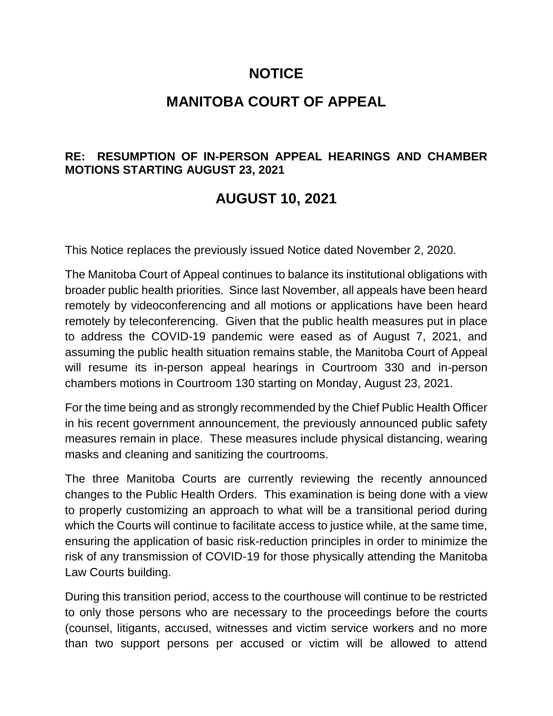## **NOTICE**

## **MANITOBA COURT OF APPEAL**

## **RE: RESUMPTION OF IN-PERSON APPEAL HEARINGS AND CHAMBER MOTIONS STARTING AUGUST 23, 2021**

## **AUGUST 10, 2021**

This Notice replaces the previously issued Notice dated November 2, 2020.

The Manitoba Court of Appeal continues to balance its institutional obligations with broader public health priorities. Since last November, all appeals have been heard remotely by videoconferencing and all motions or applications have been heard remotely by teleconferencing. Given that the public health measures put in place to address the COVID-19 pandemic were eased as of August 7, 2021, and assuming the public health situation remains stable, the Manitoba Court of Appeal will resume its in-person appeal hearings in Courtroom 330 and in-person chambers motions in Courtroom 130 starting on Monday, August 23, 2021.

For the time being and as strongly recommended by the Chief Public Health Officer in his recent government announcement, the previously announced public safety measures remain in place. These measures include physical distancing, wearing masks and cleaning and sanitizing the courtrooms.

The three Manitoba Courts are currently reviewing the recently announced changes to the Public Health Orders. This examination is being done with a view to properly customizing an approach to what will be a transitional period during which the Courts will continue to facilitate access to justice while, at the same time, ensuring the application of basic risk-reduction principles in order to minimize the risk of any transmission of COVID-19 for those physically attending the Manitoba Law Courts building.

During this transition period, access to the courthouse will continue to be restricted to only those persons who are necessary to the proceedings before the courts (counsel, litigants, accused, witnesses and victim service workers and no more than two support persons per accused or victim will be allowed to attend